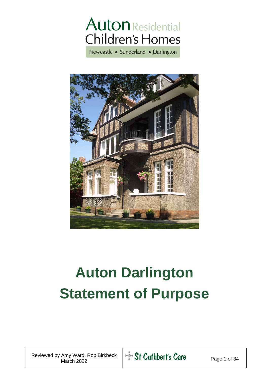## **Auton** Residential **Children's Homes**

Newcastle • Sunderland • Darlington



# **Auton Darlington Statement of Purpose**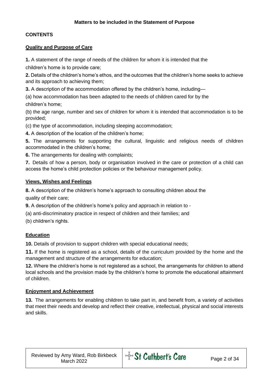#### **CONTENTS**

#### **Quality and Purpose of Care**

**1.** A statement of the range of needs of the children for whom it is intended that the

children's home is to provide care;

**2.** Details of the children's home's ethos, and the outcomes that the children's home seeks to achieve and its approach to achieving them;

**3.** A description of the accommodation offered by the children's home, including—

(a) how accommodation has been adapted to the needs of children cared for by the children's home;

(b) the age range, number and sex of children for whom it is intended that accommodation is to be provided;

(c) the type of accommodation, including sleeping accommodation;

**4.** A description of the location of the children's home;

**5.** The arrangements for supporting the cultural, linguistic and religious needs of children accommodated in the children's home;

**6.** The arrangements for dealing with complaints;

**7.** Details of how a person, body or organisation involved in the care or protection of a child can access the home's child protection policies or the behaviour management policy.

#### **Views, Wishes and Feelings**

**8.** A description of the children's home's approach to consulting children about the

quality of their care;

**9.** A description of the children's home's policy and approach in relation to -

(a) anti-discriminatory practice in respect of children and their families; and

(b) children's rights.

#### **Education**

**10.** Details of provision to support children with special educational needs;

**11.** If the home is registered as a school, details of the curriculum provided by the home and the management and structure of the arrangements for education;

**12.** Where the children's home is not registered as a school, the arrangements for children to attend local schools and the provision made by the children's home to promote the educational attainment of children.

#### **Enjoyment and Achievement**

**13.** The arrangements for enabling children to take part in, and benefit from, a variety of activities that meet their needs and develop and reflect their creative, intellectual, physical and social interests and skills.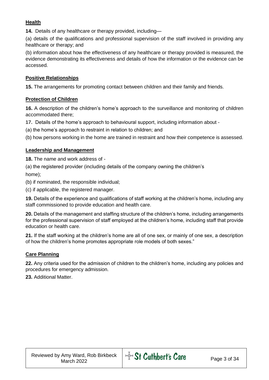#### **Health**

**14.** Details of any healthcare or therapy provided, including—

(a) details of the qualifications and professional supervision of the staff involved in providing any healthcare or therapy; and

(b) information about how the effectiveness of any healthcare or therapy provided is measured, the evidence demonstrating its effectiveness and details of how the information or the evidence can be accessed.

#### **Positive Relationships**

**15.** The arrangements for promoting contact between children and their family and friends.

#### **Protection of Children**

**16.** A description of the children's home's approach to the surveillance and monitoring of children accommodated there;

**17.** Details of the home's approach to behavioural support, including information about -

(a) the home's approach to restraint in relation to children; and

(b) how persons working in the home are trained in restraint and how their competence is assessed.

#### **Leadership and Management**

**18.** The name and work address of -

(a) the registered provider (including details of the company owning the children's home);

(b) if nominated, the responsible individual;

(c) if applicable, the registered manager.

**19.** Details of the experience and qualifications of staff working at the children's home, including any staff commissioned to provide education and health care.

**20.** Details of the management and staffing structure of the children's home, including arrangements for the professional supervision of staff employed at the children's home, including staff that provide education or health care.

**21.** If the staff working at the children's home are all of one sex, or mainly of one sex, a description of how the children's home promotes appropriate role models of both sexes."

#### **Care Planning**

**22.** Any criteria used for the admission of children to the children's home, including any policies and procedures for emergency admission.

**23.** Additional Matter.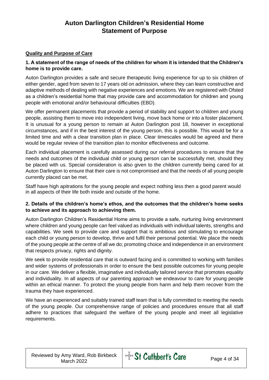### **Auton Darlington Children's Residential Home Statement of Purpose**

#### **Quality and Purpose of Care**

#### **1. A statement of the range of needs of the children for whom it is intended that the Children's home is to provide care.**

Auton Darlington provides a safe and secure therapeutic living experience for up to six children of either gender, aged from seven to 17 years old on admission, where they can learn constructive and adaptive methods of dealing with negative experiences and emotions. We are registered with Ofsted as a children's residential home that may provide care and accommodation for children and young people with emotional and/or behavioural difficulties (EBD).

We offer permanent placements that provide a period of stability and support to children and young people, assisting them to move into independent living, move back home or into a foster placement. It is unusual for a young person to remain at Auton Darlington post 18, however in exceptional circumstances, and if in the best interest of the young person, this is possible. This would be for a limited time and with a clear transition plan in place. Clear timescales would be agreed and there would be regular review of the transition plan to monitor effectiveness and outcome.

Each individual placement is carefully assessed during our referral procedures to ensure that the needs and outcomes of the individual child or young person can be successfully met, should they be placed with us. Special consideration is also given to the children currently being cared for at Auton Darlington to ensure that their care is not compromised and that the needs of all young people currently placed can be met.

Staff have high apitrations for the young people and expect nothing less then a good parent would in all aspects of their life both inside and outside of the home.

#### **2. Details of the children's home's ethos, and the outcomes that the children's home seeks to achieve and its approach to achieving them.**

Auton Darlington Children's Residential Home aims to provide a safe, nurturing living environment where children and young people can feel valued as individuals with individual talents, strengths and capabilities. We seek to provide care and support that is ambitious and stimulating to encourage each child or young person to develop, thrive and fulfil their personal potential. We place the needs of the young people at the centre of all we do; promoting choice and independence in an environment that respects privacy, rights and dignity.

We seek to provide residential care that is outward facing and is committed to working with families and wider systems of professionals in order to ensure the best possible outcomes for young people in our care. We deliver a flexible, imaginative and individually tailored service that promotes equality and individuality. In all aspects of our parenting approach we endeavour to care for young people within an ethical manner. To protect the young people from harm and help them recover from the trauma they have experienced.

We have an experienced and suitably trained staff team that is fully committed to meeting the needs of the young people. Our comprehensive range of policies and procedures ensure that all staff adhere to practices that safeguard the welfare of the young people and meet all legislative requirements.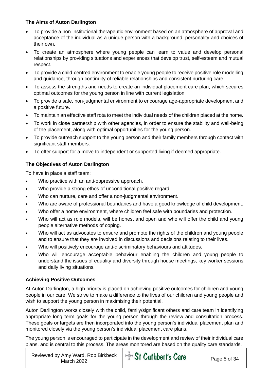#### **The Aims of Auton Darlington**

- To provide a non-institutional therapeutic environment based on an atmosphere of approval and acceptance of the individual as a unique person with a background, personality and choices of their own.
- To create an atmosphere where young people can learn to value and develop personal relationships by providing situations and experiences that develop trust, self-esteem and mutual respect.
- To provide a child-centred environment to enable young people to receive positive role modelling and guidance, through continuity of reliable relationships and consistent nurturing care.
- To assess the strengths and needs to create an individual placement care plan, which secures optimal outcomes for the young person in line with current legislation
- To provide a safe, non-judgmental environment to encourage age-appropriate development and a positive future.
- To maintain an effective staff rota to meet the individual needs of the children placed at the home.
- To work in close partnership with other agencies, in order to ensure the stability and well-being of the placement, along with optimal opportunities for the young person.
- To provide outreach support to the young person and their family members through contact with significant staff members.
- To offer support for a move to independent or supported living if deemed appropriate.

#### **The Objectives of Auton Darlington**

To have in place a staff team:

- Who practice with an anti-oppressive approach.
- Who provide a strong ethos of unconditional positive regard.
- Who can nurture, care and offer a non-judgmental environment.
- Who are aware of professional boundaries and have a good knowledge of child development.
- Who offer a home environment, where children feel safe with boundaries and protection.
- Who will act as role models, will be honest and open and who will offer the child and young people alternative methods of coping.
- Who will act as advocates to ensure and promote the rights of the children and young people and to ensure that they are involved in discussions and decisions relating to their lives.
- Who will positively encourage anti-discriminatory behaviours and attitudes.
- Who will encourage acceptable behaviour enabling the children and young people to understand the issues of equality and diversity through house meetings, key worker sessions and daily living situations.

#### **Achieving Positive Outcomes**

At Auton Darlington, a high priority is placed on achieving positive outcomes for children and young people in our care. We strive to make a difference to the lives of our children and young people and wish to support the young person in maximising their potential.

Auton Darlington works closely with the child, family/significant others and care team in identifying appropriate long term goals for the young person through the review and consultation process. These goals or targets are then incorporated into the young person's individual placement plan and monitored closely via the young person's individual placement care plans.

The young person is encouraged to participate in the development and review of their individual care plans, and is central to this process. The areas monitored are based on the quality care standards.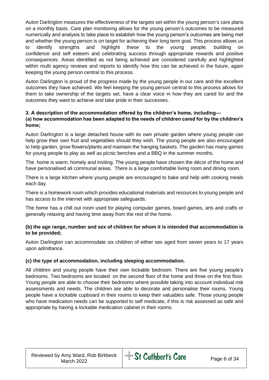Auton Darlington measures the effectiveness of the targets set within the young person's care plans on a monthly basis. Care plan monitoring allows for the young person's outcomes to be measured numerically and analysis to take place to establish how the young person's outcomes are being met and whether the young person is on target for achieving their long term goal. This process allows us to identify strengths and highlight these to the young people, building on confidence and self esteem and celebrating success through appropriate rewards and positive consequences. Areas identified as not being achieved are considered carefully and highlighted within multi agency reviews and reports to identify how this can be achieved in the future, again keeping the young person central to this process.

Auton Darlington is proud of the progress made by the young people in our care and the excellent outcomes they have achieved. We feel keeping the young person central to this process allows for them to take ownership of the targets set, have a clear voice in how they are cared for and the outcomes they want to achieve and take pride in their successes.

#### **3. A description of the accommodation offered by the children's home, including— (a) how accommodation has been adapted to the needs of children cared for by the children's home;**

Auton Darlington is a large detached house with its own private garden where young people can help grow their own fruit and vegetables should they wish. The young people are also encouraged to help garden, grow flowers/plants and maintain the hanging baskets. The garden has many games for young people to play as well as picnic benches and a BBQ in the summer months.

The home is warm, homely and inviting. The young people have chosen the décor of the home and have personalised all communal areas. There is a large comfortable living room and dining room.

There is a large kitchen where young people are encouraged to bake and help with cooking meals each day.

There is a homework room which provides educational materials and resources to young people and has access to the internet with appropriate safeguards.

The home has a chill out room used for playing computer games, board games, arts and crafts or generally relaxing and having time away from the rest of the home.

#### **(b) the age range, number and sex of children for whom it is intended that accommodation is to be provided;**

Auton Darlington can accommodate six children of either sex aged from seven years to 17 years upon admittance.

#### **(c) the type of accommodation, including sleeping accommodation.**

All children and young people have their own lockable bedroom. There are five young people's bedrooms. Two bedrooms are located on the second floor of the home and three on the first floor. Young people are able to choose their bedrooms where possible taking into account individual risk assessments and needs. The children are able to decorate and personalise their rooms. Young people have a lockable cupboard in their rooms to keep their valuables safe. Those young people who have medication needs can be supported to self medicate, if this is risk assessed as safe and appropriate by having a lockable medication cabinet in their rooms.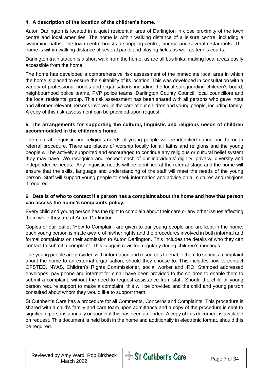#### **4. A description of the location of the children's home.**

Auton Darlington is located in a quiet residential area of Darlington in close proximity of the town centre and local amenities. The home is within walking distance of a leisure centre, including a swimming baths. The town centre boasts a shopping centre, cinema and several restaurants. The home is within walking distance of several parks and playing fields as well as tennis courts.

Darlington train station is a short walk from the home, as are all bus links, making local areas easily accessible from the home.

The home has developed a comprehensive risk assessment of the immediate local area in which the home is placed to ensure the suitability of its location. This was developed in consultation with a variety of professional bodies and organisations including the local safeguarding children's board, neighbourhood police teams, PVP police teams, Darlington County Council, local councillors and the local residents' group. This risk assessment has been shared with all persons who gave input and all other relevant persons involved in the care of our children and young people, including family. A copy of this risk assessment can be provided upon request.

#### **5. The arrangements for supporting the cultural, linguistic and religious needs of children accommodated in the children's home.**

The cultural, linguistic and religious needs of young people will be identified during our thorough referral procedure. There are places of worship locally for all faiths and religions and the young people will be actively supported and encouraged to continue any religious or cultural belief system they may have. We recognise and respect each of our individuals' dignity, privacy, diversity and independence needs. Any linguistic needs will be identified at the referral stage and the home will ensure that the skills, language and understanding of the staff will meet the needs of the young person. Staff will support young people to seek information and advice on all cultures and religions if required.

#### **6. Details of who to contact if a person has a complaint about the home and how that person can access the home's complaints policy.**

Every child and young person has the right to complain about their care or any other issues affecting them while they are at Auton Darlington.

Copies of our leaflet "How to Complain" are given to our young people and are kept in the home; each young person is made aware of his/her rights and the procedures involved in both informal and formal complaints on their admission to Auton Darlington. This includes the details of who they can contact to submit a complaint. This is again revisited regularly during children's meetings.

The young people are provided with information and resources to enable them to submit a complaint about the home to an external organisation, should they choose to. This includes how to contact OFSTED, NYAS, Children's Rights Commissioner, social worker and IRO. Stamped addressed envelopes, pay phone and internet for email have been provided to the children to enable them to submit a complaint, without the need to request assistance from staff. Should the child or young person require support to make a complaint, this will be provided and the child and young person consulted about whom they would like to support them.

St Cuthbert's Care has a procedure for all Comments, Concerns and Complaints. This procedure is shared with a child's family and care team upon admittance and a copy of the procedure is sent to significant persons annually or sooner if this has been amended. A copy of this document is available on request. This document is held both in the home and additionally in electronic format, should this be required.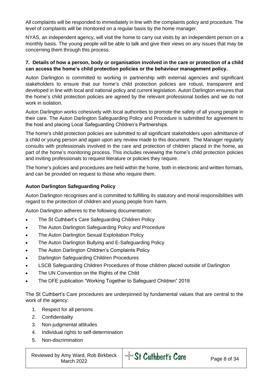All complaints will be responded to immediately in line with the complaints policy and procedure. The level of complaints will be monitored on a regular basis by the home manager.

NYAS, an independent agency, will visit the home to carry out visits by an independent person on a monthly basis. The young people will be able to talk and give their views on any issues that may be concerning them through this process.

#### **7. Details of how a person, body or organisation involved in the care or protection of a child can access the home's child protection policies or the behaviour management policy.**

Auton Darlington is committed to working in partnership with external agencies and significant stakeholders to ensure that our home's child protection policies are robust, transparent and developed in line with local and national policy and current legislation. Auton Darlington ensures that the home's child protection policies are agreed by the relevant professional bodies and we do not work in isolation

Auton Darlington works cohesively with local authorities to promote the safety of all young people in their care. The Auton Darlington Safeguarding Policy and Procedure is submitted for agreement to the host and placing Local Safeguarding Children's Partnerships.

The home's child protection policies are submitted to all significant stakeholders upon admittance of a child or young person and again upon any review made to this document. The Manager regularly consults with professionals involved in the care and protection of children placed in the home, as part of the home's monitoring process. This includes reviewing the home's child protection policies and inviting professionals to request literature or policies they require.

The home's policies and procedures are held within the home, both in electronic and written formats, and can be provided on request to those who require them.

#### **Auton Darlington Safeguarding Policy**

Auton Darlington recognises and is committed to fulfilling its statutory and moral responsibilities with regard to the protection of children and young people from harm.

Auton Darlington adheres to the following documentation:

- The St Cuthbert's Care Safeguarding Children Policy
- The Auton Darlington Safeguarding Policy and Procedure
- The Auton Darlington Sexual Exploitation Policy
- The Auton Darlington Bullying and E-Safeguarding Policy
- The Auton Darlington Children's Complaints Policy
- Darlington Safeguarding Children Procedures
- LSCB Safeguarding Children Procedures of those children placed outside of Darlington
- The UN Convention on the Rights of the Child
- The DFE publication "Working Together to Safeguard Children" 2018

The St Cuthbert's Care procedures are underpinned by fundamental values that are central to the work of the agency:

- 1. Respect for all persons
- 2. Confidentiality
- 3. Non-judgmental attitudes
- 4. Individual rights to self-determination
- 5. Non-discrimination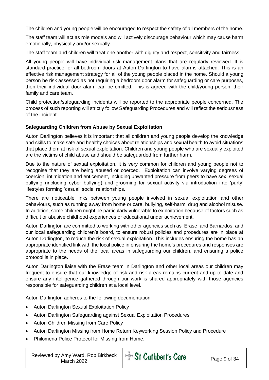The children and young people will be encouraged to respect the safety of all members of the home.

The staff team will act as role models and will actively discourage behaviour which may cause harm emotionally, physically and/or sexually.

The staff team and children will treat one another with dignity and respect, sensitivity and fairness.

All young people will have individual risk management plans that are regularly reviewed. It is standard practice for all bedroom doors at Auton Darlington to have alarms attached. This is an effective risk management strategy for all of the young people placed in the home. Should a young person be risk assessed as not requiring a bedroom door alarm for safeguarding or care purposes, then their individual door alarm can be omitted. This is agreed with the child/young person, their family and care team.

Child protection/safeguarding incidents will be reported to the appropriate people concerned. The process of such reporting will strictly follow Safeguarding Procedures and will reflect the seriousness of the incident.

#### **Safeguarding Children from Abuse by Sexual Exploitation**

Auton Darlington believes it is important that all children and young people develop the knowledge and skills to make safe and healthy choices about relationships and sexual health to avoid situations that place them at risk of sexual exploitation. Children and young people who are sexually exploited are the victims of child abuse and should be safeguarded from further harm.

Due to the nature of sexual exploitation, it is very common for children and young people not to recognise that they are being abused or coerced. Exploitation can involve varying degrees of coercion, intimidation and enticement, including unwanted pressure from peers to have sex, sexual bullying (including cyber bullying) and grooming for sexual activity via introduction into 'party' lifestyles forming 'casual' social relationships.

There are noticeable links between young people involved in sexual exploitation and other behaviours, such as running away from home or care, bullying, self-harm, drug and alcohol misuse. In addition, some children might be particularly vulnerable to exploitation because of factors such as difficult or abusive childhood experiences or educational under achievement.

Auton Darlington are committed to working with other agencies such as Erase and Barnardos, and our local safeguarding children's board, to ensure robust policies and procedures are in place at Auton Darlington, to reduce the risk of sexual exploitation. This includes ensuring the home has an appropriate identified link with the local police in ensuring the home's procedures and responses are appropriate to the needs of the local areas in safeguarding our children, and ensuring a police protocol is in place.

Auton Darlington liaise with the Erase team in Darlington and other local areas our children may frequent to ensure that our knowledge of risk and risk areas remains current and up to date and ensure any intelligence gathered through our work is shared appropriately with those agencies responsible for safeguarding children at a local level.

Auton Darlington adheres to the following documentation:

- Auton Darlington Sexual Exploitation Policy
- Auton Darlington Safeguarding against Sexual Exploitation Procedures
- Auton Children Missing from Care Policy
- Auton Darlington Missing from Home Return Keyworking Session Policy and Procedure
- Philomena Police Protocol for Missing from Home.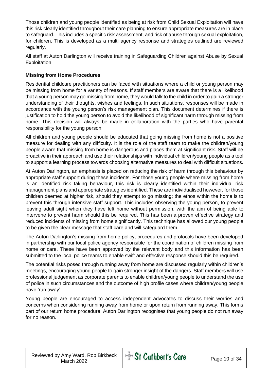Those children and young people identified as being at risk from Child Sexual Exploitation will have this risk clearly identified throughout their care planning to ensure appropriate measures are in place to safeguard. This includes a specific risk assessment, and risk of abuse through sexual exploitation, for children. This is developed as a multi agency response and strategies outlined are reviewed regularly.

All staff at Auton Darlington will receive training in Safeguarding Children against Abuse by Sexual Exploitation.

#### **Missing from Home Procedures**

Residential childcare practitioners can be faced with situations where a child or young person may be missing from home for a variety of reasons. If staff members are aware that there is a likelihood that a young person may go missing from home, they would talk to the child in order to gain a stronger understanding of their thoughts, wishes and feelings. In such situations, responses will be made in accordance with the young person's risk management plan. This document determines if there is justification to hold the young person to avoid the likelihood of significant harm through missing from home. This decision will always be made in collaboration with the parties who have parental responsibility for the young person.

All children and young people should be educated that going missing from home is not a positive measure for dealing with any difficulty. It is the role of the staff team to make the children/young people aware that missing from home is dangerous and places them at significant risk. Staff will be proactive in their approach and use their relationships with individual children/young people as a tool to support a learning process towards choosing alternative measures to deal with difficult situations.

At Auton Darlington, an emphasis is placed on reducing the risk of harm through this behaviour by appropriate staff support during these incidents. For those young people where missing from home is an identified risk taking behaviour, this risk is clearly identified within their individual risk management plans and appropriate strategies identified. These are individualised however, for those children deemed at higher risk, should they attempt to go missing; the ethos within the home is to prevent this through intensive staff support. This includes observing the young person, to prevent leaving adult sight when they have left home without permission, with the aim of being able to intervene to prevent harm should this be required. This has been a proven effective strategy and reduced incidents of missing from home significantly. This technique has allowed our young people to be given the clear message that staff care and will safeguard them.

The Auton Darlington's missing from home policy, procedures and protocols have been developed in partnership with our local police agency responsible for the coordination of children missing from home or care. These have been approved by the relevant body and this information has been submitted to the local police teams to enable swift and effective response should this be required.

The potential risks posed through running away from home are discussed regularly within children's meetings, encouraging young people to gain stronger insight of the dangers. Staff members will use professional judgement as corporate parents to enable children/young people to understand the use of police in such circumstances and the outcome of high profile cases where children/young people have 'run away'.

Young people are encouraged to access independent advocates to discuss their worries and concerns when considering running away from home or upon return from running away. This forms part of our return home procedure. Auton Darlington recognises that young people do not run away for no reason.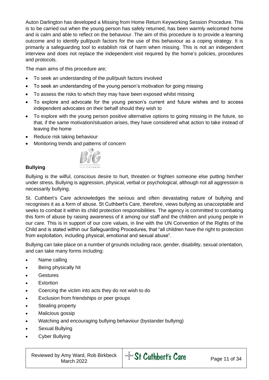Auton Darlington has developed a Missing from Home Return Keyworking Session Procedure. This is to be carried out when the young person has safely returned, has been warmly welcomed home and is calm and able to reflect on the behaviour. The aim of this procedure is to provide a learning outcome and to identify pull/push factors for the use of this behaviour as a coping strategy. It is primarily a safeguarding tool to establish risk of harm when missing. This is not an independent interview and does not replace the independent visit required by the home's policies, procedures and protocols.

The main aims of this procedure are;

- To seek an understanding of the pull/push factors involved
- To seek an understanding of the young person's motivation for going missing
- To assess the risks to which they may have been exposed whilst missing
- To explore and advocate for the young person's current and future wishes and to access independent advocates on their behalf should they wish to
- To explore with the young person positive alternative options to going missing in the future, so that, if the same motivation/situation arises, they have considered what action to take instead of leaving the home
- Reduce risk taking behaviour
- Monitoring trends and patterns of concern



#### **Bullying**

Bullying is the wilful, conscious desire to hurt, threaten or frighten someone else putting him/her under stress. Bullying is aggression, physical, verbal or psychological, although not all aggression is necessarily bullying.

St. Cuthbert's Care acknowledges the serious and often devastating nature of bullying and recognises it as a form of abuse. St Cuthbert's Care, therefore, views bullying as unacceptable and seeks to combat it within its child protection responsibilities. The agency is committed to combating this form of abuse by raising awareness of it among our staff and the children and young people in our care. This is in support of our core values, in line with the UN Convention of the Rights of the Child and is stated within our Safeguarding Procedures, that "all children have the right to protection from exploitation, including physical, emotional and sexual abuse".

Bullying can take place on a number of grounds including race, gender, disability, sexual orientation, and can take many forms including:

- Name calling
- Being physically hit
- Gestures
- **Fxtortion**
- Coercing the victim into acts they do not wish to do
- Exclusion from friendships or peer groups
- Stealing property
- Malicious gossip
- Watching and encouraging bullying behaviour (bystander bullying)
- Sexual Bullying
- Cyber Bullying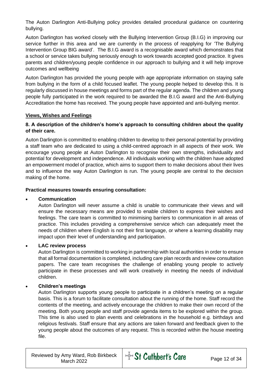The Auton Darlington Anti-Bullying policy provides detailed procedural guidance on countering bullying.

Auton Darlington has worked closely with the Bullying Intervention Group (B.I.G) in improving our service further in this area and we are currently in the process of reapplying for 'The Bullying Intervention Group BIG award'. The B.I.G award is a recognisable award which demonstrates that a school or service takes bullying seriously enough to work towards accepted good practice. It gives parents and children/young people confidence in our approach to bullying and it will help improve outcomes and wellbeing

Auton Darlington has provided the young people with age appropriate information on staying safe from bullying in the form of a child focused leaflet. The young people helped to develop this. It is regularly discussed in house meetings and forms part of the regular agenda. The children and young people fully participated in the work required to be awarded the B.I.G award and the Anti-Bullying Accreditation the home has received. The young people have appointed and anti-bullying mentor.

#### **Views, Wishes and Feelings**

#### **8. A description of the children's home's approach to consulting children about the quality of their care.**

Auton Darlington is committed to enabling children to develop to their personal potential by providing a staff team who are dedicated to using a child-centred approach in all aspects of their work. We encourage young people at Auton Darlington to recognise their own strengths, individuality and potential for development and independence. All individuals working with the children have adopted an empowerment model of practice, which aims to support them to make decisions about their lives and to influence the way Auton Darlington is run. The young people are central to the decision making of the home.

#### **Practical measures towards ensuring consultation:**

#### • **Communication**

Auton Darlington will never assume a child is unable to communicate their views and will ensure the necessary means are provided to enable children to express their wishes and feelings. The care team is committed to minimising barriers to communication in all areas of practice. This includes providing a comprehensive service which can adequately meet the needs of children where English is not their first language, or where a learning disability may impact upon their level of understanding and participation.

#### • **LAC review process**

Auton Darlington is committed to working in partnership with local authorities in order to ensure that all formal documentation is completed, including care plan records and review consultation papers. The care team recognises the challenge of enabling young people to actively participate in these processes and will work creatively in meeting the needs of individual children.

#### • **Children's meetings**

Auton Darlington supports young people to participate in a children's meeting on a regular basis. This is a forum to facilitate consultation about the running of the home. Staff record the contents of the meeting, and actively encourage the children to make their own record of the meeting. Both young people and staff provide agenda items to be explored within the group. This time is also used to plan events and celebrations in the household e.g. birthdays and religious festivals. Staff ensure that any actions are taken forward and feedback given to the young people about the outcomes of any request. This is recorded within the house meeting file.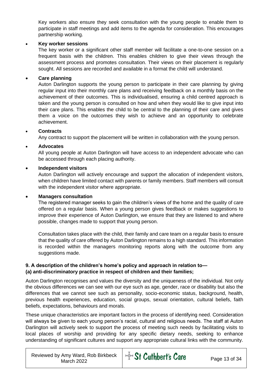Key workers also ensure they seek consultation with the young people to enable them to participate in staff meetings and add items to the agenda for consideration. This encourages partnership working.

#### • **Key worker sessions**

The key worker or a significant other staff member will facilitate a one-to-one session on a frequent basis with the children. This enables children to give their views through the assessment process and promotes consultation. Their views on their placement is regularly sought. All sessions are recorded and available in a format the child will understand.

#### • **Care planning**

Auton Darlington supports the young person to participate in their care planning by giving regular input into their monthly care plans and receiving feedback on a monthly basis on the achievement of their outcomes. This is individualised, ensuring a child centred approach is taken and the young person is consulted on how and when they would like to give input into their care plans. This enables the child to be central to the planning of their care and gives them a voice on the outcomes they wish to achieve and an opportunity to celebrate achievement.

#### • **Contracts**

Any contract to support the placement will be written in collaboration with the young person.

#### • **Advocates**

All young people at Auton Darlington will have access to an independent advocate who can be accessed through each placing authority.

#### • **Independent visitors**

Auton Darlington will actively encourage and support the allocation of independent visitors, when children have limited contact with parents or family members. Staff members will consult with the independent visitor where appropriate.

#### • **Managers consultation**

The registered manager seeks to gain the children's views of the home and the quality of care offered on a regular basis. When a young person gives feedback or makes suggestions to improve their experience of Auton Darlington, we ensure that they are listened to and where possible, changes made to support that young person.

Consultation takes place with the child, their family and care team on a regular basis to ensure that the quality of care offered by Auton Darlington remains to a high standard. This information is recorded within the managers monitoring reports along with the outcome from any suggestions made.

#### **9. A description of the children's home's policy and approach in relation to— (a) anti-discriminatory practice in respect of children and their families;**

Auton Darlington recognises and values the diversity and the uniqueness of the individual. Not only the obvious differences we can see with our eye such as age, gender, race or disability but also the differences that we cannot see such as personality, socio-economic status, background, health, previous health experiences, education, social groups, sexual orientation, cultural beliefs, faith beliefs, expectations, behaviours and morals.

These unique characteristics are important factors in the process of identifying need. Consideration will always be given to each young person's racial, cultural and religious needs. The staff at Auton Darlington will actively seek to support the process of meeting such needs by facilitating visits to local places of worship and providing for any specific dietary needs, seeking to enhance understanding of significant cultures and support any appropriate cultural links with the community.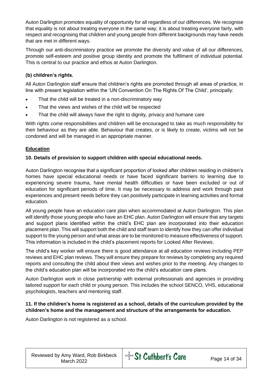Auton Darlington promotes equality of opportunity for all regardless of our differences. We recognise that equality is not about treating everyone in the same way; it is about treating everyone fairly, with respect and recognising that children and young people from different backgrounds may have needs that are met in different ways.

Through our anti-discriminatory practice we promote the diversity and value of all our differences, promote self-esteem and positive group identity and promote the fulfilment of individual potential. This is central to our practice and ethos at Auton Darlington.

#### **(b) children's rights.**

All Auton Darlington staff ensure that children's rights are promoted through all areas of practice, in line with present legislation within the 'UN Convention On The Rights Of The Child', principally:

- That the child will be treated in a non-discriminatory way
- That the views and wishes of the child will be respected
- That the child will always have the right to dignity, privacy and humane care

With rights come responsibilities and children will be encouraged to take as much responsibility for their behaviour as they are able. Behaviour that creates, or is likely to create, victims will not be condoned and will be managed in an appropriate manner.

#### **Education**

#### **10. Details of provision to support children with special educational needs.**

Auton Darlington recognise that a significant proportion of looked after children residing in children's homes have special educational needs or have faced significant barriers to learning due to experiencing severe trauma, have mental health difficulties or have been excluded or out of education for significant periods of time. It may be necessary to address and work through past experiences and present needs before they can positively participate in learning activities and formal education.

All young people have an education care plan when accommodated at Auton Darlington. This plan will identify those young people who have an EHC plan. Auton Darlington will ensure that any targets and support plans identified within the child's EHC plan are incorporated into their education placement plan. This will support both the child and staff team to identify how they can offer individual support to the young person and what areas are to be monitored to measure effectiveness of support. This information is included in the child's placement reports for Looked After Reviews.

The child's key worker will ensure there is good attendance at all education reviews including PEP reviews and EHC plan reviews. They will ensure they prepare for reviews by completing any required reports and consulting the child about their views and wishes prior to the meeting. Any changes to the child's education plan will be incorporated into the child's education care plans.

Auton Darlington work in close partnership with external professionals and agencies in providing tailored support for each child or young person. This includes the school SENCO, VHS, educational psychologists, teachers and mentoring staff.

#### **11. If the children's home is registered as a school, details of the curriculum provided by the children's home and the management and structure of the arrangements for education.**

Auton Darlington is not registered as a school.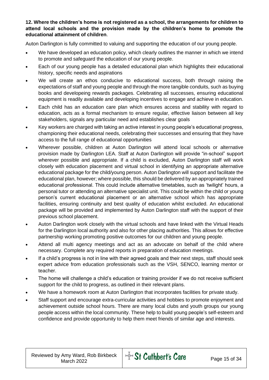#### **12. Where the children's home is not registered as a school, the arrangements for children to attend local schools and the provision made by the children's home to promote the educational attainment of children**.

Auton Darlington is fully committed to valuing and supporting the education of our young people.

- We have developed an education policy, which clearly outlines the manner in which we intend to promote and safeguard the education of our young people.
- Each of our young people has a detailed educational plan which highlights their educational history, specific needs and aspirations
- We will create an ethos conducive to educational success, both through raising the expectations of staff and young people and through the more tangible conduits, such as buying books and developeing rewards packages. Celebrating all successes, ensuring educational equipment is readily available and developing incentives to engage and achieve in education.
- Each child has an education care plan which ensures access and stability with regard to education, acts as a formal mechanism to ensure regular, effective liaison between all key stakeholders, signals any particular need and establishes clear goals
- Key workers are charged with taking an active interest in young people's educational progress, championing their educational needs, celebrating their successes and ensuring that they have access to the full range of educational opportunities
- Wherever possible, children at Auton Darlington will attend local schools or alternative provision made by Darlington LEA. Staff at Auton Darlington will provide "in-school" support wherever possible and appropriate. If a child is excluded, Auton Darlington staff will work closely with education placement and virtual school in identifying an appropriate alternative educational package for the child/young person. Auton Darlington will support and facilitate the educational plan, however; where possible, this should be delivered by an appropriately trained educational professional. This could include alternative timetables, such as 'twilight' hours, a personal tutor or attending an alternative specialist unit. This could be within the child or young person's current educational placement or an alternative school which has appropriate facilities, ensuring continuity and best quality of education whilst excluded. An educational package will be provided and implemented by Auton Darlington staff with the support of their previous school placement.
- Auton Darlington work closely with the virtual schools and have linked with the Virtual Heads for the Darlington local authority and also for other placing authorities. This allows for effective partnership working promoting positive outcomes for our children and young people.
- Attend all multi agency meetings and act as an advocate on behalf of the child where necessary. Complete any required reports in preparation of education meetings.
- If a child's progress is not in line with their agreed goals and their next steps, staff should seek expert advice from education professionals such as the VSH, SENCO, learning mentor or teacher.
- The home will challenge a child's education or training provider if we do not receive sufficient support for the child to progress, as outlined in their relevant plans.
- We have a homework room at Auton Darlington that incorporates facilities for private study.
- Staff support and encourage extra-curricular activities and hobbies to promote enjoyment and achievement outside school hours. There are many local clubs and youth groups our young people access within the local community. These help to build young people's self-esteem and confidence and provide opportunity to help them meet friends of similar age and interests.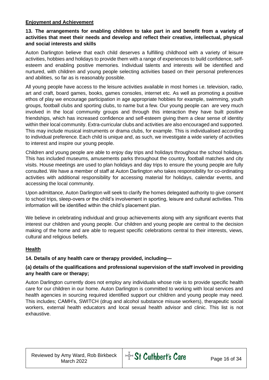#### **Enjoyment and Achievement**

#### **13. The arrangements for enabling children to take part in and benefit from a variety of activities that meet their needs and develop and reflect their creative, intellectual, physical and social interests and skills**

Auton Darlington believe that each child deserves a fulfilling childhood with a variety of leisure activities, hobbies and holidays to provide them with a range of experiences to build confidence, selfesteem and enabling positive memories. Individual talents and interests will be identified and nurtured, with children and young people selecting activities based on their personal preferences and abilities, so far as is reasonably possible.

All young people have access to the leisure activities available in most homes i.e. television, radio, art and craft, board games, books, games consoles, internet etc. As well as promoting a positive ethos of play we encourage participation in age appropriate hobbies for example, swimming, youth groups, football clubs and sporting clubs, to name but a few. Our young people can are very much involved in the local community groups and through this interaction they have built positive friendships, which has increased confidence and self-esteem giving them a clear sense of identity within their local community. Extra-curricular clubs and activities are also encouraged and supported. This may include musical instruments or drama clubs, for example. This is individualised according to individual preference. Each child is unique and, as such, we investigate a wide variety of activities to interest and inspire our young people.

Children and young people are able to enjoy day trips and holidays throughout the school holidays. This has included museums, amusements parks throughout the country, football matches and city visits. House meetings are used to plan holidays and day trips to ensure the young people are fully consulted. We have a member of staff at Auton Darlington who takes responsibility for co-ordinating activities with additional responsibility for accessing material for holidays, calendar events, and accessing the local community.

Upon admittance, Auton Darlington will seek to clarify the homes delegated authority to give consent to school trips, sleep-overs or the child's involvement in sporting, leisure and cultural activities. This information will be identified within the child's placement plan.

We believe in celebrating individual and group achievements along with any significant events that interest our children and young people. Our children and young people are central to the decision making of the home and are able to request specific celebrations central to their interests, views, cultural and religious beliefs.

#### **Health**

#### **14. Details of any health care or therapy provided, including—**

#### **(a) details of the qualifications and professional supervision of the staff involved in providing any health care or therapy;**

Auton Darlington currently does not employ any individuals whose role is to provide specific health care for our children in our home. Auton Darlington is committed to working with local services and health agencies in sourcing required identified support our children and young people may need. This includes; CAMH's, SWITCH (drug and alcohol substance misuse workers), therapeutic social workers, external health educators and local sexual health advisor and clinic. This list is not exhaustive.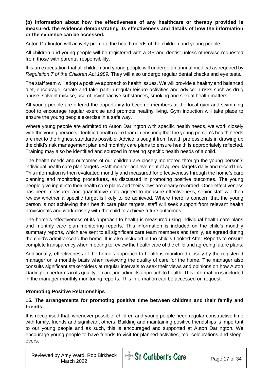#### **(b) information about how the effectiveness of any healthcare or therapy provided is measured, the evidence demonstrating its effectiveness and details of how the information or the evidence can be accessed.**

Auton Darlington will actively promote the health needs of the children and young people.

All children and young people will be registered with a GP and dentist unless otherwise requested from those with parental responsibility.

It is an expectation that all children and young people will undergo an annual medical as required by *Regulation 7 of the Children Act 1989.* They will also undergo regular dental checks and eye tests.

The staff team will adopt a positive approach to health issues. We will provide a healthy and balanced diet, encourage, create and take part in regular leisure activities and advice in risks such as drug abuse, solvent misuse, use of psychoactive substances, smoking and sexual health matters.

All young people are offered the opportunity to become members at the local gym and swimming pool to encourage regular exercise and promote healthy living. Gym induction will take place to ensure the young people exercise in a safe way.

Where young people are admitted to Auton Darlington with specific health needs, we work closely with the young person's identified health care team in ensuring that the young person's health needs are met to the highest standards possible. Advice is sought from health professionals in drawing up the child's risk management plan and monthly care plans to ensure health is appropriately reflected. Training may also be identified and sourced in meeting specific health needs of a child.

The health needs and outcomes of our children are closely monitored through the young person's individual health care plan targets. Staff monitor achievement of agreed targets daily and record this. This information is then evaluated monthly and measured for effectiveness through the home's care planning and monitoring procedures, as discussed in promoting positive outcomes. The young people give input into their health care plans and their views are clearly recorded. Once effectiveness has been measured and quantitative data agreed to measure effectiveness, senior staff will then review whether a specific target is likely to be achieved. Where there is concern that the young person is not achieving their health care plan targets, staff will seek support from relevant health provisionals and work closely with the child to achieve future outcomes.

The home's effectiveness of its approach to health is measured using individual health care plans and monthly care plan monitoring reports. This information is included on the child's monthly summary reports, which are sent to all significant care team members and family, as agreed during the child's admittance to the home. It is also included in the child's Looked After Reports to ensure complete transparency when meeting to review the health care of the child and agreeing future plans.

Additionally, effectiveness of the home's approach to health is monitored closely by the registered manager on a monthly basis when reviewing the quality of care for the home. The manager also consults significant stakeholders at regular intervals to seek their views and opinions on how Auton Darlington performs in its quality of care, including its approach to health. This information is included in the manager monthly monitoring reports. This information can be accessed on request.

#### **Promoting Positive Relationships**

#### **15. The arrangements for promoting positive time between children and their family and friends.**

It is recognised that, whenever possible, children and young people need regular constructive time with family, friends and significant others. Building and maintaining positive friendships is important to our young people and as such, this is encouraged and supported at Auton Darlington. We encourage young people to have friends to visit for planned activities, tea, celebrations and sleepovers.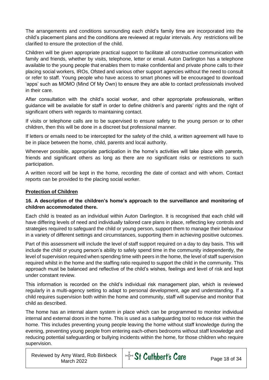The arrangements and conditions surrounding each child's family time are incorporated into the child's placement plans and the conditions are reviewed at regular intervals. Any restrictions will be clarified to ensure the protection of the child.

Children will be given appropriate practical support to facilitate all constructive communication with family and friends, whether by visits, telephone, letter or email. Auton Darlington has a telephone available to the young people that enables them to make confidential and private phone calls to their placing social workers, IROs, Ofsted and various other support agencies without the need to consult or refer to staff. Young people who have access to smart phones will be encouraged to download 'apps' such as MOMO (Mind Of My Own) to ensure they are able to contact professionals involved in their care.

After consultation with the child's social worker, and other appropriate professionals, written guidance will be available for staff in order to define children's and parents' rights and the right of significant others with regards to maintaining contact.

If visits or telephone calls are to be supervised to ensure safety to the young person or to other children, then this will be done in a discreet but professional manner.

If letters or emails need to be intercepted for the safety of the child, a written agreement will have to be in place between the home, child, parents and local authority.

Whenever possible, appropriate participation in the home's activities will take place with parents, friends and significant others as long as there are no significant risks or restrictions to such participation.

A written record will be kept in the home, recording the date of contact and with whom. Contact reports can be provided to the placing social worker.

#### **Protection of Children**

#### **16. A description of the children's home's approach to the surveillance and monitoring of children accommodated there.**

Each child is treated as an individual within Auton Darlington. It is recognised that each child will have differing levels of need and individually tailored care plans in place, reflecting key controls and strategies required to safeguard the child or young person, support them to manage their behaviour in a variety of different settings and circumstances, supporting them in achieving positive outcomes.

Part of this assessment will include the level of staff support required on a day to day basis. This will include the child or young person's ability to safely spend time in the community independently, the level of supervision required when spending time with peers in the home, the level of staff supervision required whilst in the home and the staffing ratio required to support the child in the community. This approach must be balanced and reflective of the child's wishes, feelings and level of risk and kept under constant review.

This information is recorded on the child's individual risk management plan, which is reviewed regularly in a multi-agency setting to adapt to personal development, age and understanding. If a child requires supervision both within the home and community, staff will supervise and monitor that child as described.

The home has an internal alarm system in place which can be programmed to monitor individual internal and external doors in the home. This is used as a safeguarding tool to reduce risk within the home. This includes preventing young people leaving the home without staff knowledge during the evening, preventing young people from entering each-others bedrooms without staff knowledge and reducing potential safeguarding or bullying incidents within the home, for those children who require supervision.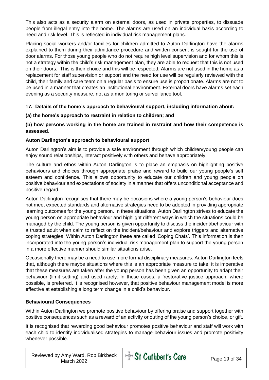This also acts as a security alarm on external doors, as used in private properties, to dissuade people from illegal entry into the home. The alarms are used on an individual basis according to need and risk level. This is reflected in individual risk management plans.

Placing social workers and/or families for children admitted to Auton Darlington have the alarms explained to them during their admittance procedure and written consent is sought for the use of door alarms. For those young people who do not require high level supervision and for whom this is not a strategy within the child's risk management plan, they are able to request that this is not used on their doors. This is their choice and this will be respected. Alarms are not used in the home as a replacement for staff supervision or support and the need for use will be regularly reviewed with the child, their family and care team on a regular basis to ensure use is proportionate. Alarms are not to be used in a manner that creates an institutional environment. External doors have alarms set each evening as a security measure, not as a monitoring or surveillance tool.

#### **17. Details of the home's approach to behavioural support, including information about:**

#### **(a) the home's approach to restraint in relation to children; and**

#### **(b) how persons working in the home are trained in restraint and how their competence is assessed**.

#### **Auton Darlington's approach to behavioural support**

Auton Darlington's aim is to provide a safe environment through which children/young people can enjoy sound relationships, interact positively with others and behave appropriately.

The culture and ethos within Auton Darlington is to place an emphasis on highlighting positive behaviours and choices through appropriate praise and reward to build our young people's self esteem and confidence. This allows opportunity to educate our children and young people on positive behaviour and expectations of society in a manner that offers unconditional acceptance and positive regard.

Auton Darlington recognises that there may be occasions where a young person's behaviour does not meet expected standards and alternative strategies need to be adopted in providing appropriate learning outcomes for the young person. In these situations, Auton Darlington strives to educate the young person on appropriate behaviour and highlight different ways in which the situations could be managed by the child. The young person is given opportunity to discuss the incident/behaviour with a trusted adult when calm to reflect on the incident/behaviour and explore triggers and alternative coping strategies. Within Auton Darlington these are called 'Coping Chats'. This information is then incorporated into the young person's individual risk management plan to support the young person in a more effective manner should similar situations arise.

Occasionally there may be a need to use more formal disciplinary measures. Auton Darlington feels that, although there maybe situations where this is an appropriate measure to take, it is imperative that these measures are taken after the young person has been given an opportunity to adapt their behaviour (limit setting) and used rarely. In these cases, a 'restorative justice approach, where possible, is preferred. It is recognised however, that positive behaviour management model is more effective at establishing a long term change in a child's behaviour.

#### **Behavioural Consequences**

Within Auton Darlington we promote positive behaviour by offering praise and support together with positive consequences such as a reward of an activity or outing of the young person's choice, or gift.

It is recognised that rewarding good behaviour promotes positive behaviour and staff will work with each child to identify individualised strategies to manage behaviour issues and promote positivity whenever possible.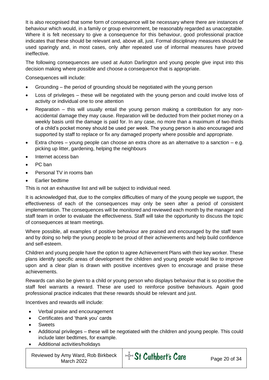It is also recognised that some form of consequence will be necessary where there are instances of behaviour which would, in a family or group environment, be reasonably regarded as unacceptable. Where it is felt necessary to give a consequence for this behaviour, good professional practice indicates that these should be relevant and, above all, just. Formal disciplinary measures should be used sparingly and, in most cases, only after repeated use of informal measures have proved ineffective.

The following consequences are used at Auton Darlington and young people give input into this decision making where possible and choose a consequence that is appropriate.

Consequences will include:

- Grounding the period of grounding should be negotiated with the young person
- Loss of privileges these will be negotiated with the young person and could involve loss of activity or individual one to one attention
- Reparation this will usually entail the young person making a contribution for any nonaccidental damage they may cause. Reparation will be deducted from their pocket money on a weekly basis until the damage is paid for. In any case, no more than a maximum of two-thirds of a child's pocket money should be used per week. The young person is also encouraged and supported by staff to replace or fix any damaged property where possible and appropriate.
- Extra chores young people can choose an extra chore as an alternative to a sanction e.g. picking up litter, gardening, helping the neighbours
- Internet access ban
- PC ban
- Personal TV in rooms ban
- Earlier bedtime

This is not an exhaustive list and will be subject to individual need.

It is acknowledged that, due to the complex difficulties of many of the young people we support, the effectiveness of each of the consequences may only be seen after a period of consistent implementation. The consequences will be monitored and reviewed each month by the manager and staff team in order to evaluate the effectiveness. Staff will take the opportunity to discuss the topic of consequences at team meetings.

Where possible, all examples of positive behaviour are praised and encouraged by the staff team and by doing so help the young people to be proud of their achievements and help build confidence and self-esteem.

Children and young people have the option to agree Achievement Plans with their key worker. These plans identify specific areas of development the children and young people would like to improve upon and a clear plan is drawn with positive incentives given to encourage and praise these achievements.

Rewards can also be given to a child or young person who displays behaviour that is so positive the staff feel warrants a reward. These are used to reinforce positive behaviours. Again good professional practice indicates that these rewards should be relevant and just.

Incentives and rewards will include:

- Verbal praise and encouragement
- Certificates and 'thank you' cards
- **Sweets**
- Additional privileges these will be negotiated with the children and young people. This could include later bedtimes, for example.
- Additional activities/holidays

Reviewed by Amy Ward, Rob Birkbeck Amy Ward, Rob Birkbeck  $\frac{1}{2}$  St Cuthbert's Care Page 20 of 34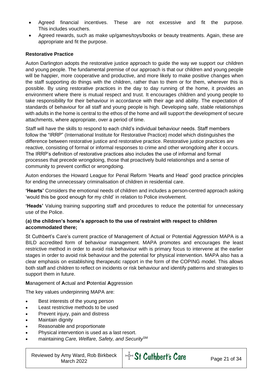- Agreed financial incentives. These are not excessive and fit the purpose. This includes vouchers.
- Agreed rewards, such as make up/games/toys/books or beauty treatments. Again, these are appropriate and fit the purpose.

#### **Restorative Practice**

Auton Darlington adopts the restorative justice approach to guide the way we support our children and young people. The fundamental premise of our approach is that our children and young people will be happier, more cooperative and productive, and more likely to make positive changes when the staff supporting do things with the children, rather than to them or for them, wherever this is possible. By using restorative practices in the day to day running of the home, it provides an environment where there is mutual respect and trust. It encourages children and young people to take responsibility for their behaviour in accordance with their age and ability. The expectation of standards of behaviour for all staff and young people is high. Developing safe, stable relationships with adults in the home is central to the ethos of the home and will support the development of secure attachments, where appropriate, over a period of time.

Staff will have the skills to respond to each child's individual behaviour needs. Staff members follow the "IRRP" (International Institute for Restorative Practice) model which distinguishes the difference between restorative justice and restorative practice. Restorative justice practices are reactive, consisting of formal or informal responses to crime and other wrongdoing after it occurs. The IRRP's definition of restorative practices also includes the use of informal and formal processes that precede wrongdoing, those that proactively build relationships and a sense of community to prevent conflict or wrongdoing.

Auton endorses the Howard League for Penal Reform 'Hearts and Head' good practice principles for ending the unnecessary criminalisation of children in residential care.

**'Hearts'** Considers the emotional needs of children and includes a person-centred approach asking 'would this be good enough for my child' in relation to Police involvement.

**'Heads'** Valuing training supporting staff and procedures to reduce the potential for unnecessary use of the Police.

#### **(a) the children's home's approach to the use of restraint with respect to children accommodated there;**

St Cuthbert's Care's current practice of Management of Actual or Potential Aggression MAPA is a BILD accredited form of behaviour management. MAPA promotes and encourages the least restrictive method in order to avoid risk behaviour with is primary focus to intervene at the earlier stages in order to avoid risk behaviour and the potential for physical intervention. MAPA also has a clear emphasis on establishing therapeutic rapport in the form of the COPING model. This allows both staff and children to reflect on incidents or risk behaviour and identify patterns and strategies to support them in future.

#### **M**anagement of **A**ctual and **P**otential **A**ggression

The key values underpinning MAPA are:

- Best interests of the young person
- Least restrictive methods to be used
- Prevent injury, pain and distress
- Maintain dignity
- Reasonable and proportionate
- Physical intervention is used as a last resort.
- maintaining *Care, Welfare, Safety, and Security*SM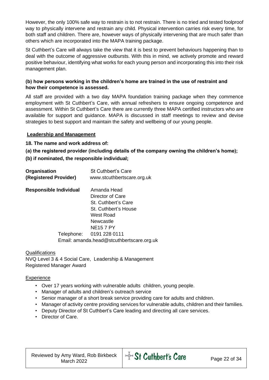However, the only 100% safe way to restrain is to not restrain. There is no tried and tested foolproof way to physically intervene and restrain any child. Physical intervention carries risk every time, for both staff and children. There are, however ways of physically intervening that are much safer than others which are incorporated into the MAPA training package.

St Cuthbert's Care will always take the view that it is best to prevent behaviours happening than to deal with the outcome of aggressive outbursts. With this in mind, we actively promote and reward positive behaviour, identifying what works for each young person and incorporating this into their risk management plan.

#### **(b) how persons working in the children's home are trained in the use of restraint and how their competence is assessed.**

All staff are provided with a two day MAPA foundation training package when they commence employment with St Cuthbert's Care, with annual refreshers to ensure ongoing competence and assessment. Within St Cuthbert's Care there are currently three MAPA certified instructors who are available for support and guidance. MAPA is discussed in staff meetings to review and devise strategies to best support and maintain the safety and wellbeing of our young people.

#### **Leadership and Management**

**18. The name and work address of:**

**(a) the registered provider (including details of the company owning the children's home);** 

**(b) if nominated, the responsible individual;**

| Organisation<br>(Registered Provider) | <b>St Cuthbert's Care</b><br>www.stcuthbertscare.org.uk |
|---------------------------------------|---------------------------------------------------------|
| <b>Responsible Individual</b>         | Amanda Head                                             |
|                                       | Director of Care                                        |
|                                       | St. Cuthbert's Care                                     |
|                                       | St. Cuthbert's House                                    |
|                                       | West Road                                               |
|                                       | Newcastle                                               |
|                                       | <b>NE157 PY</b>                                         |
| Telephone:                            | 0191 228 0111                                           |
|                                       | Email: amanda.head@stcuthbertscare.org.uk               |

Qualifications NVQ Level 3 & 4 Social Care, Leadership & Management Registered Manager Award

#### **Experience**

- Over 17 years working with vulnerable adults children, young people.
- Manager of adults and children's outreach service
- Senior manager of a short break service providing care for adults and children.
- Manager of activity centre providing services for vulnerable adults, children and their families.
- Deputy Director of St Cuthbert's Care leading and directing all care services.
- Director of Care.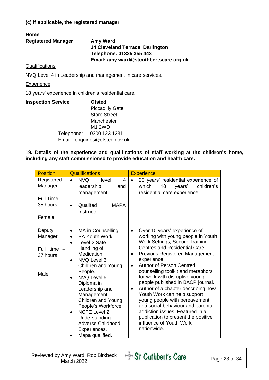#### **(c) if applicable, the registered manager**

#### **Home Registered Manager: Amy Ward 14 Cleveland Terrace, Darlington Telephone: 01325 355 443 Email: amy.ward@stcuthbertscare.org.uk**

#### **Qualifications**

NVQ Level 4 in Leadership and management in care services.

#### **Experience**

18 years' experience in children's residential care.

| <b>Inspection Service</b> | <b>Ofsted</b>                  |
|---------------------------|--------------------------------|
|                           | <b>Piccadilly Gate</b>         |
|                           | <b>Store Street</b>            |
|                           | Manchester                     |
|                           | <b>M1 2WD</b>                  |
|                           | Telephone: 0300 123 1231       |
|                           | Email: enquiries@ofsted.gov.uk |

**19. Details of the experience and qualifications of staff working at the children's home, including any staff commissioned to provide education and health care.**

| <b>Position</b>                                    | <b>Qualifications</b>                                                                                                                                                                                                                                                                                                                                                                                                                                      | <b>Experience</b>                                                                                                                                                                                                                                                                                                                                                                                                                                                                                                                                                                                                                                |
|----------------------------------------------------|------------------------------------------------------------------------------------------------------------------------------------------------------------------------------------------------------------------------------------------------------------------------------------------------------------------------------------------------------------------------------------------------------------------------------------------------------------|--------------------------------------------------------------------------------------------------------------------------------------------------------------------------------------------------------------------------------------------------------------------------------------------------------------------------------------------------------------------------------------------------------------------------------------------------------------------------------------------------------------------------------------------------------------------------------------------------------------------------------------------------|
| Registered<br>Manager<br>Full Time $-$<br>35 hours | <b>NVQ</b><br>4<br>level<br>$\bullet$<br>leadership<br>and<br>management.<br>Qualifed<br><b>MAPA</b><br>$\bullet$                                                                                                                                                                                                                                                                                                                                          | 20 years' residential experience of<br>years'<br>which<br>18<br>children's<br>residential care experience.                                                                                                                                                                                                                                                                                                                                                                                                                                                                                                                                       |
| Female                                             | Instructor.                                                                                                                                                                                                                                                                                                                                                                                                                                                |                                                                                                                                                                                                                                                                                                                                                                                                                                                                                                                                                                                                                                                  |
| Deputy<br>Manager<br>Full time<br>37 hours<br>Male | MA in Counselling<br>$\bullet$<br><b>BA Youth Work</b><br>$\bullet$<br>Level 2 Safe<br>$\bullet$<br>Handling of<br>Medication<br>NVQ Level 3<br>$\bullet$<br><b>Children and Young</b><br>People.<br><b>NVQ Level 5</b><br>$\bullet$<br>Diploma in<br>Leadership and<br>Management<br><b>Children and Young</b><br>People's Workforce.<br><b>NCFE Level 2</b><br>$\bullet$<br>Understanding<br><b>Adverse Childhood</b><br>Experiences.<br>Mapa qualified. | Over 10 years' experience of<br>$\bullet$<br>working with young people in Youth<br>Work Settings, Secure Training<br>Centres and Residential Care.<br><b>Previous Registered Management</b><br>٠<br>experience<br><b>Author of Person Centred</b><br>$\bullet$<br>counselling toolkit and metaphors<br>for work with disruptive young<br>people published in BACP journal.<br>Author of a chapter describing how<br>٠<br>Youth Work can help support<br>young people with bereavement,<br>anti-social behaviour and parental<br>addiction issues. Featured in a<br>publication to present the positive<br>influence of Youth Work<br>nationwide. |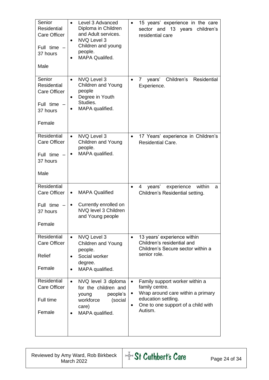| Senior<br><b>Residential</b><br><b>Care Officer</b><br>Full time -<br>37 hours<br>Male   | Level 3 Advanced<br>Diploma in Children<br>and Adult services.<br>NVQ Level 3<br>Children and young<br>people.<br><b>MAPA Qualifed.</b><br>$\bullet$ | 15 years' experience in the care<br>$\bullet$<br>sector and 13 years<br>children's<br>residential care                                                             |
|------------------------------------------------------------------------------------------|------------------------------------------------------------------------------------------------------------------------------------------------------|--------------------------------------------------------------------------------------------------------------------------------------------------------------------|
| Senior<br><b>Residential</b><br><b>Care Officer</b><br>Full time -<br>37 hours<br>Female | NVQ Level 3<br>$\bullet$<br>Children and Young<br>people<br>Degree in Youth<br>Studies.<br>MAPA qualified.                                           | Children's Residential<br>$\overline{7}$<br>years'<br>$\bullet$<br>Experience.                                                                                     |
| Residential<br>Care Officer<br>Full time $-$<br>37 hours<br>Male                         | NVQ Level 3<br>$\bullet$<br>Children and Young<br>people.<br>MAPA qualified.<br>$\bullet$                                                            | 17 Years' experience in Children's<br>$\bullet$<br><b>Residential Care.</b>                                                                                        |
| <b>Residential</b><br><b>Care Officer</b><br>Full time $-$<br>37 hours<br>Female         | <b>MAPA Qualified</b><br>$\bullet$<br>Currently enrolled on<br>NVQ level 3 Children<br>and Young people                                              | experience<br>within<br>years'<br>4<br>a<br>Children's Residential setting.                                                                                        |
| Residential<br>Care Officer<br>Relief<br>Female                                          | NVQ Level 3<br>$\bullet$<br>Children and Young<br>people.<br>Social worker<br>degree.<br>MAPA qualified.                                             | 13 years' experience within<br>$\bullet$<br>Children's residential and<br>Children's Secure sector within a<br>senior role.                                        |
| <b>Residential</b><br>Care Officer<br>Full time<br>Female                                | NVQ level 3 diploma<br>$\bullet$<br>for the children and<br>people's<br>young<br>workforce<br>(social<br>care)<br>MAPA qualified.                    | Family support worker within a<br>family centre.<br>Wrap around care within a primary<br>٠<br>education settling.<br>One to one support of a child with<br>Autism. |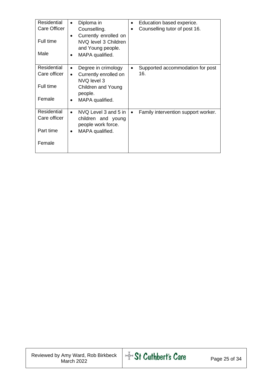| <b>Residential</b><br>Care Officer<br>Full time<br>Male   | Diploma in<br>$\bullet$<br>Counselling.<br>Currently enrolled on<br>$\bullet$<br>NVQ level 3 Children<br>and Young people.<br>MAPA qualified. | Education based experice.<br>$\bullet$<br>Counselling tutor of post 16. |
|-----------------------------------------------------------|-----------------------------------------------------------------------------------------------------------------------------------------------|-------------------------------------------------------------------------|
| <b>Residential</b><br>Care officer<br>Full time<br>Female | Degree in crimology<br>Currently enrolled on<br>$\bullet$<br>NVQ level 3<br>Children and Young<br>people.<br>MAPA qualified.<br>$\bullet$     | Supported accommodation for post<br>16.                                 |
| <b>Residential</b><br>Care officer<br>Part time<br>Female | NVQ Level 3 and 5 in<br>$\bullet$<br>children and young<br>people work force.<br>MAPA qualified.                                              | Family intervention support worker.<br>$\bullet$                        |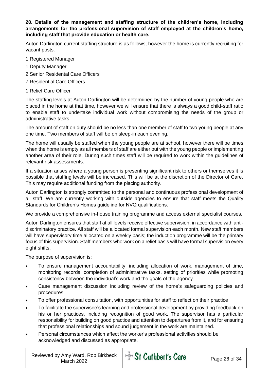#### **20. Details of the management and staffing structure of the children's home, including arrangements for the professional supervision of staff employed at the children's home, including staff that provide education or health care.**

Auton Darlington current staffing structure is as follows; however the home is currently recruiting for vacant posts.

- 1 Registered Manager
- 1 Deputy Manager
- 2 Senior Residental Care Officers
- 7 Residential Care Officers
- 1 Relief Care Officer

The staffing levels at Auton Darlington will be determined by the number of young people who are placed in the home at that time, however we will ensure that there is always a good child-staff ratio to enable staff to undertake individual work without compromising the needs of the group or administrative tasks.

The amount of staff on duty should be no less than one member of staff to two young people at any one time. Two members of staff will be on sleep-in each evening.

The home will usually be staffed when the young people are at school, however there will be times when the home is empty as all members of staff are either out with the young people or implementing another area of their role. During such times staff will be required to work within the guidelines of relevant risk assessments.

If a situation arises where a young person is presenting significant risk to others or themselves it is possible that staffing levels will be increased. This will be at the discretion of the Director of Care. This may require additional funding from the placing authority.

Auton Darlington is strongly committed to the personal and continuous professional development of all staff. We are currently working with outside agencies to ensure that staff meets the Quality Standards for Children's Homes guideline for NVQ qualifications.

We provide a comprehensive in-house training programme and access external specialist courses.

Auton Darlington ensures that staff at all levels receive effective supervision, in accordance with antidiscriminatory practice. All staff will be allocated formal supervision each month. New staff members will have supervisory time allocated on a weekly basis; the induction programme will be the primary focus of this supervision. Staff members who work on a relief basis will have formal supervision every eight shifts.

The purpose of supervision is:

- To ensure management accountability, including allocation of work, management of time, monitoring records, completion of administrative tasks, setting of priorities while promoting consistency between the individual's work and the goals of the agency
- Case management discussion including review of the home's safeguarding policies and procedures.
- To offer professional consultation, with opportunities for staff to reflect on their practice
- To facilitate the supervisee's learning and professional development by providing feedback on his or her practices, including recognition of good work. The supervisor has a particular responsibility for building on good practice and attention to departures from it, and for ensuring that professional relationships and sound judgement in the work are maintained.
- Personal circumstances which affect the worker's professional activities should be acknowledged and discussed as appropriate.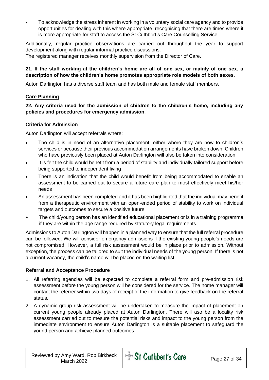• To acknowledge the stress inherent in working in a voluntary social care agency and to provide opportunities for dealing with this where appropriate, recognising that there are times where it is more appropriate for staff to access the St Cuthbert's Care Counselling Service.

Additionally, regular practice observations are carried out throughout the year to support development along with regular informal practice discussions.

The registered manager receives monthly supervision from the Director of Care.

#### **21. If the staff working at the children's home are all of one sex, or mainly of one sex, a description of how the children's home promotes appropriate role models of both sexes.**

Auton Darlington has a diverse staff team and has both male and female staff members.

#### **Care Planning**

#### **22. Any criteria used for the admission of children to the children's home, including any policies and procedures for emergency admission**.

#### **Criteria for Admission**

Auton Darlington will accept referrals where:

- The child is in need of an alternative placement, either where they are new to children's services or because their previous accommodation arrangements have broken down. Children who have previously been placed at Auton Darlington will also be taken into consideration.
- It is felt the child would benefit from a period of stability and individually tailored support before being supported to independent living
- There is an indication that the child would benefit from being accommodated to enable an assessment to be carried out to secure a future care plan to most effectively meet his/her needs
- An assessment has been completed and it has been highlighted that the individual may benefit from a therapeutic environment with an open-ended period of stability to work on individual targets and outcomes to secure a positive future
- The child/young person has an identified educational placement or is in a training programme if they are within the age range required by statutory legal requirements.

Admissions to Auton Darlington will happen in a planned way to ensure that the full referral procedure can be followed. We will consider emergency admissions if the existing young people's needs are not compromised. However, a full risk assessment would be in place prior to admission. Without exception, the process can be tailored to suit the individual needs of the young person. If there is not a current vacancy, the child's name will be placed on the waiting list.

#### **Referral and Acceptance Procedure**

- 1. All referring agencies will be expected to complete a referral form and pre-admission risk assessment before the young person will be considered for the service. The home manager will contact the referrer within two days of receipt of the information to give feedback on the referral status.
- 2. A dynamic group risk assessment will be undertaken to measure the impact of placement on current young people already placed at Auton Darlington. There will aso be a locality risk assessment carried out to mesure the potential risks and impact to the young person from the immediate environment to ensure Auton Darlington is a suitable placement to safeguard the yound person and achieve planned outcomes.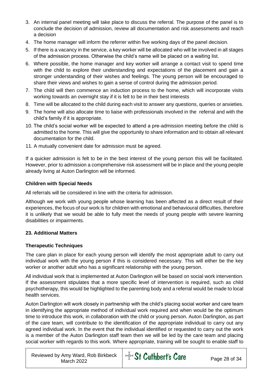- 3. An internal panel meeting will take place to discuss the referral. The purpose of the panel is to conclude the decision of admission, review all documentation and risk assessments and reach a decision
- 4. The home manager will inform the referrer within five working days of the panel decision.
- 5. If there is a vacancy in the service, a key worker will be allocated who will be involved in all stages of the admission process. Otherwise the child's name will be placed on a waiting list.
- 6. Where possible, the home manager and key worker will arrange a contact visit to spend time with the child to explore their understanding and expectations of the placement and gain a stronger understanding of their wishes and feelings. The young person will be encouraged to share their views and wishes to gain a sense of control during the admission period.
- 7. The child will then commence an induction process to the home, which will incorporate visits working towards an overnight stay if it is felt to be in their best interests
- 8. Time will be allocated to the child during each visit to answer any questions, queries or anxieties.
- 9. The home will also allocate time to liaise with professionals involved in the referral and with the child's family if it is appropriate.
- 10. The child's social worker will be expected to attend a pre-admission meeting before the child is admitted to the home. This will give the opportunity to share information and to obtain all relevant documentation for the child.
- 11. A mutually convenient date for admission must be agreed.

If a quicker admission is felt to be in the best interest of the young person this will be facilitated. However, prior to admission a comprehensive risk assessment will be in place and the young people already living at Auton Darlington will be informed.

#### **Children with Special Needs**

All referrals will be considered in line with the criteria for admission.

Although we work with young people whose learning has been affected as a direct result of their experiences, the focus of our work is for children with emotional and behavioural difficulties, therefore it is unlikely that we would be able to fully meet the needs of young people with severe learning disabilities or impairments.

#### **23. Additional Matters**

#### **Therapeutic Techniques**

The care plan in place for each young person will identify the most appropriate adult to carry out individual work with the young person if this is considered necessary. This will either be the key worker or another adult who has a significant relationship with the young person.

All individual work that is implemented at Auton Darlington will be based on social work intervention. If the assessment stipulates that a more specific level of intervention is required, such as child psychotherapy, this would be highlighted to the parenting body and a referral would be made to local health services.

Auton Darlington will work closely in partnership with the child's placing social worker and care team in identifying the appropriate method of individual work required and when would be the optimum time to introduce this work, in collaboration with the child or young person. Auton Darlington, as part of the care team, will contribute to the identification of the appropriate individual to carry out any agreed individual work. In the event that the individual identified or requested to carry out the work is a member of the Auton Darlington staff team then we will be led by the care team and placing social worker with regards to this work. Where appropriate, training will be sought to enable staff to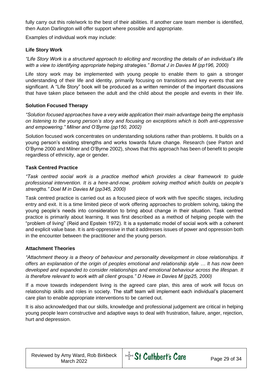fully carry out this role/work to the best of their abilities. If another care team member is identified, then Auton Darlington will offer support where possible and appropriate.

Examples of individual work may include:

#### **Life Story Work**

*"Life Story Work is a structured approach to eliciting and recording the details of an individual's life with a view to identifying appropriate helping strategies." Bornat J in Davies M (pp196, 2000)*

Life story work may be implemented with young people to enable them to gain a stronger understanding of their life and identity, primarily focusing on transitions and key events that are significant. A "Life Story" book will be produced as a written reminder of the important discussions that have taken place between the adult and the child about the people and events in their life.

#### **Solution Focused Therapy**

*"Solution focused approaches have a very wide application their main advantage being the emphasis on listening to the young person's story and focusing on exceptions which is both anti-oppressive and empowering." Milner and O'Byrne (pp150, 2002)*

Solution focused work concentrates on understanding solutions rather than problems. It builds on a young person's existing strengths and works towards future change. Research (see Parton and O'Byrne 2000 and Milner and O'Byrne 2002), shows that this approach has been of benefit to people regardless of ethnicity, age or gender.

#### **Task Centred Practice**

*"Task centred social work is a practice method which provides a clear framework to guide professional intervention. It is a here-and-now, problem solving method which builds on people's strengths." Doel M in Davies M (pp345, 2000)*

Task centred practice is carried out as a focused piece of work with five specific stages, including entry and exit. It is a time limited piece of work offering approaches to problem solving, taking the young people's needs into consideration to bring about change in their situation. Task centred practice is primarily about learning. It was first described as a method of helping people with the "problem of living" (Reid and Epstein 1972). It is a systematic model of social work with a coherent and explicit value base. It is anti-oppressive in that it addresses issues of power and oppression both in the encounter between the practitioner and the young person.

#### **Attachment Theories**

*"Attachment theory is a theory of behaviour and personality development in close relationships. It offers an explanation of the origin of peoples emotional and relationship style … It has now been developed and expanded to consider relationships and emotional behaviour across the lifespan. It is therefore relevant to work with all client groups." D Howe in Davies M (pp25, 2000)*

If a move towards independent living is the agreed care plan, this area of work will focus on relationship skills and roles in society. The staff team will implement each individual's placement care plan to enable appropriate interventions to be carried out.

It is also acknowledged that our skills, knowledge and professional judgement are critical in helping young people learn constructive and adaptive ways to deal with frustration, failure, anger, rejection, hurt and depression.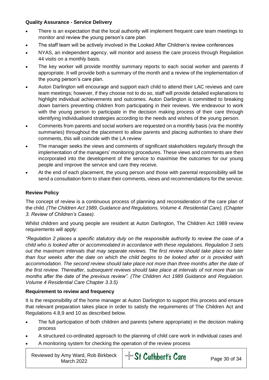#### **Quality Assurance - Service Delivery**

- There is an expectation that the local authority will implement frequent care team meetings to monitor and review the young person's care plan
- The staff team will be actively involved in the Looked After Children's review conferences
- NYAS, an independent agency, will monitor and assess the care process through Regulation 44 visits on a monthly basis.
- The key worker will provide monthly summary reports to each social worker and parents if appropriate. It will provide both a summary of the month and a review of the implementation of the young person's care plan.
- Auton Darlington will encourage and support each child to attend their LAC reviews and care team meetings; however, if they choose not to do so, staff will provide detailed explanations to highlight individual achievements and outcomes. Auton Darlington is committed to breaking down barriers preventing children from participating in their reviews. We endeavour to work with the young person to participate in the decision making process of their care through identifying individualised strategies according to the needs and wishes of the young person.
- Comments from parents and social workers are requested on a monthly basis (via the monthly summaries) throughout the placement to allow parents and placing authorities to share their comments, this will coincide with the LA review
- The manager seeks the views and comments of significant stakeholders regularly through the implementation of the managers' monitoring procedures. These views and comments are then incorporated into the development of the service to maximise the outcomes for our young people and improve the service and care they receive.
- At the end of each placement, the young person and those with parental responsibility will be send a consultation form to share their comments, views and recommendations for the service.

#### **Review Policy**

The concept of review is a continuous process of planning and reconsideration of the care plan of the child. *(The Children Act 1989, Guidance and Regulations, Volume 4. Residential Care), (Chapter 3. Review of Children's Cases).*

Whilst children and young people are resident at Auton Darlington, The Children Act 1989 review requirements will apply:

*"Regulation 2 places a specific statutory duty on the responsible authority to review the case of a child who is looked after or accommodated in accordance with these regulations. Regulation 3 sets out the maximum intervals that may separate reviews. The first review should take place no later than four weeks after the date on which the child begins to be looked after or is provided with accommodation. The second review should take place not more than three months after the date of the first review. Thereafter, subsequent reviews should take place at intervals of not more than six months after the date of the previous review". (The Children Act 1989 Guidance and Regulation. Volume 4 Residential Care Chapter 3.3.5)* 

#### **Requirement to review and frequency**

It is the responsibility of the home manager at Auton Darlington to support this process and ensure that relevant preparation takes place in order to satisfy the requirements of The Children Act and Regulations 4.8,9 and 10 as described below.

- The full participation of both children and parents (where appropriate) in the decision making process
- A structured co-ordinated approach to the planning of child care work in individual cases and
- A monitoring system for checking the operation of the review process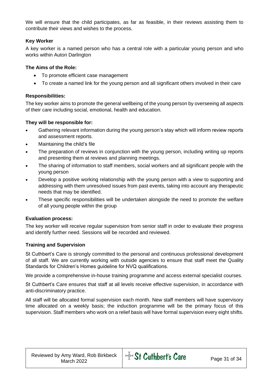We will ensure that the child participates, as far as feasible, in their reviews assisting them to contribute their views and wishes to the process.

#### **Key Worker**

A key worker is a named person who has a central role with a particular young person and who works within Auton Darlington

#### **The Aims of the Role:**

- To promote efficient case management
- To create a named link for the young person and all significant others involved in their care

#### **Responsibilities:**

The key worker aims to promote the general wellbeing of the young person by overseeing all aspects of their care including social, emotional, health and education.

#### **They will be responsible for:**

- Gathering relevant information during the young person's stay which will inform review reports and assessment reports.
- Maintaining the child's file
- The preparation of reviews in conjunction with the young person, including writing up reports and presenting them at reviews and planning meetings.
- The sharing of information to staff members, social workers and all significant people with the young person
- Develop a positive working relationship with the young person with a view to supporting and addressing with them unresolved issues from past events, taking into account any therapeutic needs that may be identified.
- These specific responsibilities will be undertaken alongside the need to promote the welfare of all young people within the group

#### **Evaluation process:**

The key worker will receive regular supervision from senior staff in order to evaluate their progress and identify further need. Sessions will be recorded and reviewed.

#### **Training and Supervision**

St Cuthbert's Care is strongly committed to the personal and continuous professional development of all staff. We are currently working with outside agencies to ensure that staff meet the Quality Standards for Children's Homes guideline for NVQ qualifications.

We provide a comprehensive in-house training programme and access external specialist courses.

St Cuthbert's Care ensures that staff at all levels receive effective supervision, in accordance with anti-discriminatory practice.

All staff will be allocated formal supervision each month. New staff members will have supervisory time allocated on a weekly basis; the induction programme will be the primary focus of this supervision. Staff members who work on a relief basis will have formal supervision every eight shifts.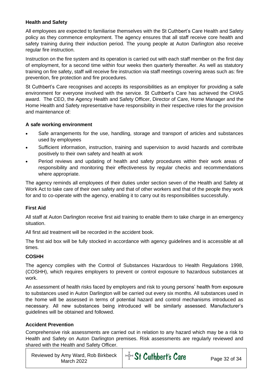#### **Health and Safety**

All employees are expected to familiarise themselves with the St Cuthbert's Care Health and Safety policy as they commence employment. The agency ensures that all staff receive core health and safety training during their induction period. The young people at Auton Darlington also receive regular fire instruction.

Instruction on the fire system and its operation is carried out with each staff member on the first day of employment, for a second time within four weeks then quarterly thereafter. As well as statutory training on fire safety, staff will receive fire instruction via staff meetings covering areas such as: fire prevention, fire protection and fire procedures.

St Cuthbert's Care recognises and accepts its responsibilities as an employer for providing a safe environment for everyone involved with the service. St Cuthbert's Care has achieved the CHAS award. The CEO, the Agency Health and Safety Officer, Director of Care, Home Manager and the Home Health and Safety representative have responsibility in their respective roles for the provision and maintenance of:

#### **A safe working environment**

- Safe arrangements for the use, handling, storage and transport of articles and substances used by employees
- Sufficient information, instruction, training and supervision to avoid hazards and contribute positively to their own safety and health at work
- Period reviews and updating of health and safety procedures within their work areas of responsibility and monitoring their effectiveness by regular checks and recommendations where appropriate.

The agency reminds all employees of their duties under section seven of the Health and Safety at Work Act to take care of their own safety and that of other workers and that of the people they work for and to co-operate with the agency, enabling it to carry out its responsibilities successfully.

#### **First Aid**

All staff at Auton Darlington receive first aid training to enable them to take charge in an emergency situation.

All first aid treatment will be recorded in the accident book.

The first aid box will be fully stocked in accordance with agency guidelines and is accessible at all times.

#### **COSHH**

The agency complies with the Control of Substances Hazardous to Health Regulations 1998, (COSHH), which requires employers to prevent or control exposure to hazardous substances at work.

An assessment of health risks faced by employers and risk to young persons' health from exposure to substances used in Auton Darlington will be carried out every six months. All substances used in the home will be assessed in terms of potential hazard and control mechanisms introduced as necessary. All new substances being introduced will be similarly assessed. Manufacturer's guidelines will be obtained and followed.

#### **Accident Prevention**

Comprehensive risk assessments are carried out in relation to any hazard which may be a risk to Health and Safety on Auton Darlington premises. Risk assessments are regularly reviewed and shared with the Health and Safety Officer.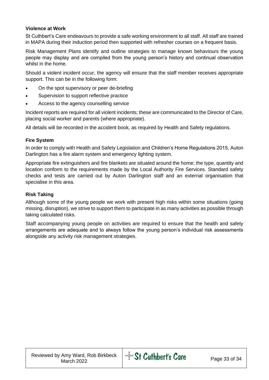#### **Violence at Work**

St Cuthbert's Care endeavours to provide a safe working environment to all staff. All staff are trained in MAPA during their induction period then supported with refresher courses on a frequent basis.

Risk Management Plans identify and outline strategies to manage known behaviours the young people may display and are compiled from the young person's history and continual observation whilst in the home.

Should a violent incident occur, the agency will ensure that the staff member receives appropriate support. This can be in the following form:

- On the spot supervisory or peer de-briefing
- Supervision to support reflective practice
- Access to the agency counselling service

Incident reports are required for all violent incidents; these are communicated to the Director of Care, placing social worker and parents (where appropriate).

All details will be recorded in the accident book, as required by Health and Safety regulations.

#### **Fire System**

In order to comply with Health and Safety Legislation and Children's Home Regulations 2015, Auton Darlington has a fire alarm system and emergency lighting system.

Appropriate fire extinguishers and fire blankets are situated around the home; the type, quantity and location conform to the requirements made by the Local Authority Fire Services. Standard safety checks and tests are carried out by Auton Darlington staff and an external organisation that specialise in this area.

#### **Risk Taking**

Although some of the young people we work with present high risks within some situations (going missing, disruption), we strive to support them to participate in as many activities as possible through taking calculated risks.

Staff accompanying young people on activities are required to ensure that the health and safety arrangements are adequate and to always follow the young person's individual risk assessments alongside any activity risk management strategies.